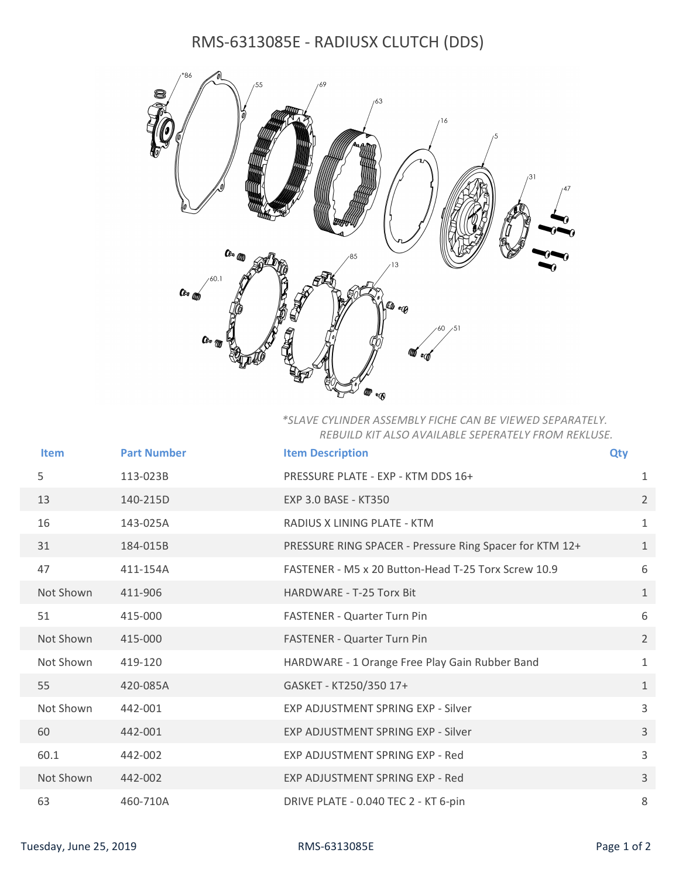## RMS-6313085E - RADIUSX CLUTCH (DDS)



## \*SLAVE CYLINDER ASSEMBLY FICHE CAN BE VIEWED SEPARATELY. REBUILD KIT ALSO AVAILABLE SEPERATELY FROM REKLUSE.

|                        | Item      | <b>Part Number</b> | <b>Item Description</b>                                 | <b>Qty</b>      |
|------------------------|-----------|--------------------|---------------------------------------------------------|-----------------|
|                        | 5         | 113-023B           | PRESSURE PLATE - EXP - KTM DDS 16+                      | $\mathbf{1}$    |
|                        | 13        | 140-215D           | EXP 3.0 BASE - KT350                                    | $2^{\circ}$     |
|                        | 16        | 143-025A           | RADIUS X LINING PLATE - KTM                             | 1               |
|                        | 31        | 184-015B           | PRESSURE RING SPACER - Pressure Ring Spacer for KTM 12+ | 1               |
|                        | 47        | 411-154A           | FASTENER - M5 x 20 Button-Head T-25 Torx Screw 10.9     | 6               |
|                        | Not Shown | 411-906            | HARDWARE - T-25 Torx Bit                                | $\mathbf{1}$    |
|                        | 51        | 415-000            | FASTENER - Quarter Turn Pin                             | 6               |
|                        | Not Shown | 415-000            | <b>FASTENER - Quarter Turn Pin</b>                      | $2\overline{ }$ |
|                        | Not Shown | 419-120            | HARDWARE - 1 Orange Free Play Gain Rubber Band          | $\mathbf{1}$    |
|                        | 55        | 420-085A           | GASKET - KT250/350 17+                                  | 1               |
|                        | Not Shown | 442-001            | EXP ADJUSTMENT SPRING EXP - Silver                      | 3               |
|                        | 60        | 442-001            | EXP ADJUSTMENT SPRING EXP - Silver                      | $\mathbf{3}$    |
|                        | 60.1      | 442-002            | EXP ADJUSTMENT SPRING EXP - Red                         | 3               |
|                        | Not Shown | 442-002            | EXP ADJUSTMENT SPRING EXP - Red                         | $\mathbf{3}$    |
|                        | 63        | 460-710A           | DRIVE PLATE - 0.040 TEC 2 - KT 6-pin                    | 8               |
| Tuesday, June 25, 2019 |           |                    | RMS-6313085E                                            | Page 1 of 2     |